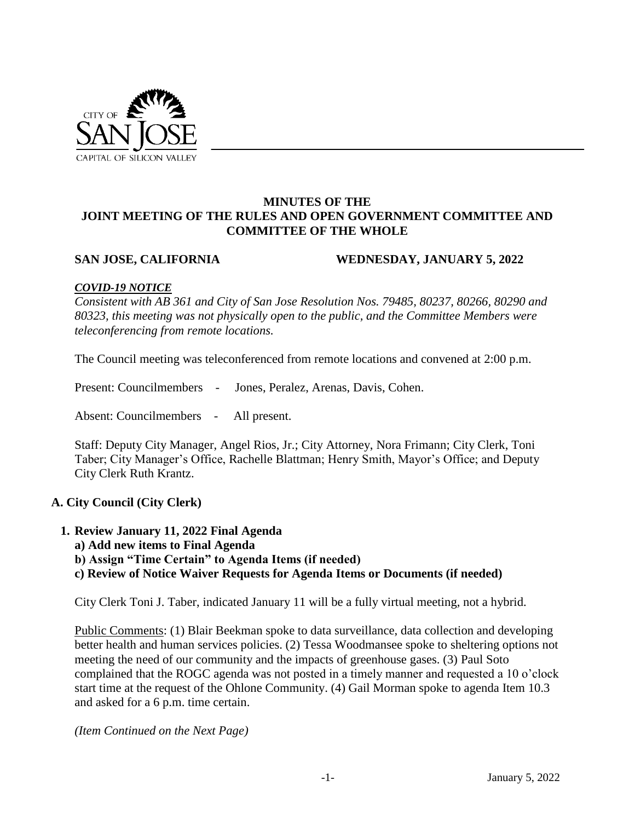

#### **MINUTES OF THE JOINT MEETING OF THE RULES AND OPEN GOVERNMENT COMMITTEE AND COMMITTEE OF THE WHOLE**

#### **SAN JOSE, CALIFORNIA WEDNESDAY, JANUARY 5, 2022**

#### *COVID-19 NOTICE*

*Consistent with AB 361 and City of San Jose Resolution Nos. 79485, 80237, 80266, 80290 and 80323, this meeting was not physically open to the public, and the Committee Members were teleconferencing from remote locations.* 

The Council meeting was teleconferenced from remote locations and convened at 2:00 p.m.

Present: Councilmembers - Jones, Peralez, Arenas, Davis, Cohen.

Absent: Councilmembers - All present.

Staff: Deputy City Manager, Angel Rios, Jr.; City Attorney, Nora Frimann; City Clerk, Toni Taber; City Manager's Office, Rachelle Blattman; Henry Smith, Mayor's Office; and Deputy City Clerk Ruth Krantz.

# **A. City Council (City Clerk)**

**1. Review January 11, 2022 Final Agenda** 

**a) Add new items to Final Agenda** 

**b) Assign "Time Certain" to Agenda Items (if needed)** 

**c) Review of Notice Waiver Requests for Agenda Items or Documents (if needed)** 

City Clerk Toni J. Taber, indicated January 11 will be a fully virtual meeting, not a hybrid.

Public Comments: (1) Blair Beekman spoke to data surveillance, data collection and developing better health and human services policies. (2) Tessa Woodmansee spoke to sheltering options not meeting the need of our community and the impacts of greenhouse gases. (3) Paul Soto complained that the ROGC agenda was not posted in a timely manner and requested a 10 o'clock start time at the request of the Ohlone Community. (4) Gail Morman spoke to agenda Item 10.3 and asked for a 6 p.m. time certain.

*(Item Continued on the Next Page)*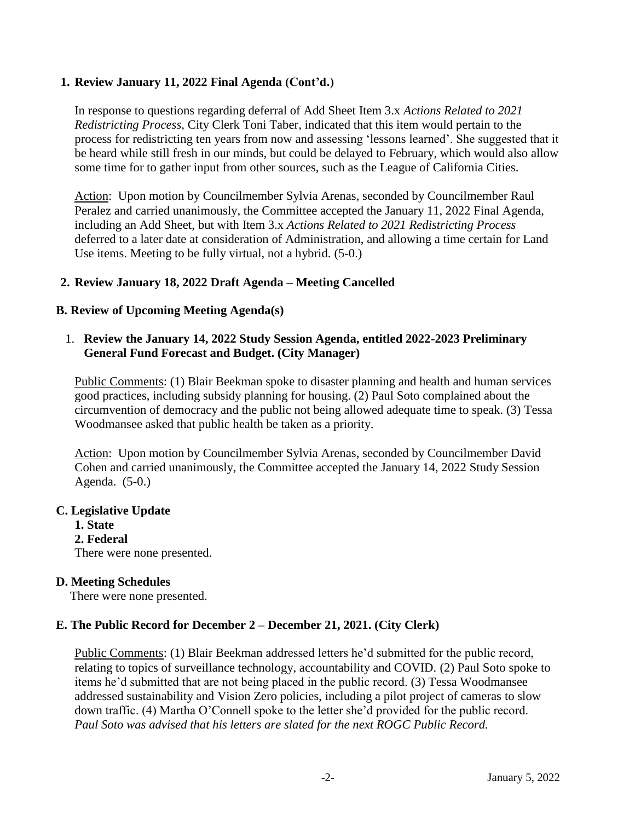# **1. Review January 11, 2022 Final Agenda (Cont'd.)**

In response to questions regarding deferral of Add Sheet Item 3.x *Actions Related to 2021 Redistricting Process,* City Clerk Toni Taber, indicated that this item would pertain to the process for redistricting ten years from now and assessing 'lessons learned'. She suggested that it be heard while still fresh in our minds, but could be delayed to February, which would also allow some time for to gather input from other sources, such as the League of California Cities.

Action: Upon motion by Councilmember Sylvia Arenas, seconded by Councilmember Raul Peralez and carried unanimously, the Committee accepted the January 11, 2022 Final Agenda, including an Add Sheet, but with Item 3.x *Actions Related to 2021 Redistricting Process* deferred to a later date at consideration of Administration, and allowing a time certain for Land Use items. Meeting to be fully virtual, not a hybrid. (5-0.)

#### **2. Review January 18, 2022 Draft Agenda – Meeting Cancelled**

#### **B. Review of Upcoming Meeting Agenda(s)**

#### 1. **Review the January 14, 2022 Study Session Agenda, entitled 2022-2023 Preliminary General Fund Forecast and Budget. (City Manager)**

Public Comments: (1) Blair Beekman spoke to disaster planning and health and human services good practices, including subsidy planning for housing. (2) Paul Soto complained about the circumvention of democracy and the public not being allowed adequate time to speak. (3) Tessa Woodmansee asked that public health be taken as a priority.

Action: Upon motion by Councilmember Sylvia Arenas, seconded by Councilmember David Cohen and carried unanimously, the Committee accepted the January 14, 2022 Study Session Agenda. (5-0.)

#### **C. Legislative Update**

**1. State 2. Federal**  There were none presented.

#### **D. Meeting Schedules**

There were none presented.

# **E. The Public Record for December 2 – December 21, 2021. (City Clerk)**

Public Comments: (1) Blair Beekman addressed letters he'd submitted for the public record, relating to topics of surveillance technology, accountability and COVID. (2) Paul Soto spoke to items he'd submitted that are not being placed in the public record. (3) Tessa Woodmansee addressed sustainability and Vision Zero policies, including a pilot project of cameras to slow down traffic. (4) Martha O'Connell spoke to the letter she'd provided for the public record. *Paul Soto was advised that his letters are slated for the next ROGC Public Record.*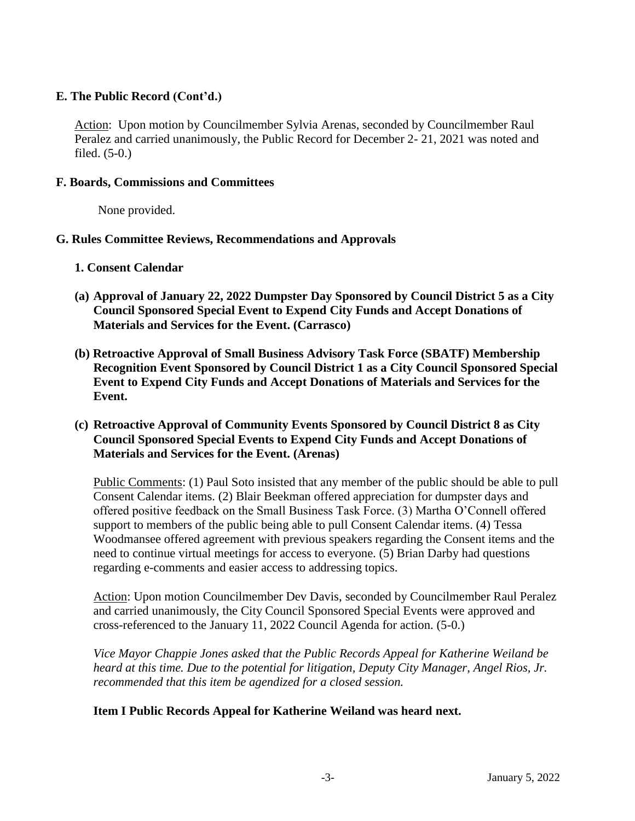# **E. The Public Record (Cont'd.)**

Action: Upon motion by Councilmember Sylvia Arenas, seconded by Councilmember Raul Peralez and carried unanimously, the Public Record for December 2- 21, 2021 was noted and filed. (5-0.)

### **F. Boards, Commissions and Committees**

None provided.

# **G. Rules Committee Reviews, Recommendations and Approvals**

- **1. Consent Calendar**
- **(a) Approval of January 22, 2022 Dumpster Day Sponsored by Council District 5 as a City Council Sponsored Special Event to Expend City Funds and Accept Donations of Materials and Services for the Event. (Carrasco)**
- **(b) Retroactive Approval of Small Business Advisory Task Force (SBATF) Membership Recognition Event Sponsored by Council District 1 as a City Council Sponsored Special Event to Expend City Funds and Accept Donations of Materials and Services for the Event.**

#### **(c) Retroactive Approval of Community Events Sponsored by Council District 8 as City Council Sponsored Special Events to Expend City Funds and Accept Donations of Materials and Services for the Event. (Arenas)**

Public Comments: (1) Paul Soto insisted that any member of the public should be able to pull Consent Calendar items. (2) Blair Beekman offered appreciation for dumpster days and offered positive feedback on the Small Business Task Force. (3) Martha O'Connell offered support to members of the public being able to pull Consent Calendar items. (4) Tessa Woodmansee offered agreement with previous speakers regarding the Consent items and the need to continue virtual meetings for access to everyone. (5) Brian Darby had questions regarding e-comments and easier access to addressing topics.

Action: Upon motion Councilmember Dev Davis, seconded by Councilmember Raul Peralez and carried unanimously, the City Council Sponsored Special Events were approved and cross-referenced to the January 11, 2022 Council Agenda for action. (5-0.)

*Vice Mayor Chappie Jones asked that the Public Records Appeal for Katherine Weiland be heard at this time. Due to the potential for litigation, Deputy City Manager, Angel Rios, Jr. recommended that this item be agendized for a closed session.*

# **Item I Public Records Appeal for Katherine Weiland was heard next.**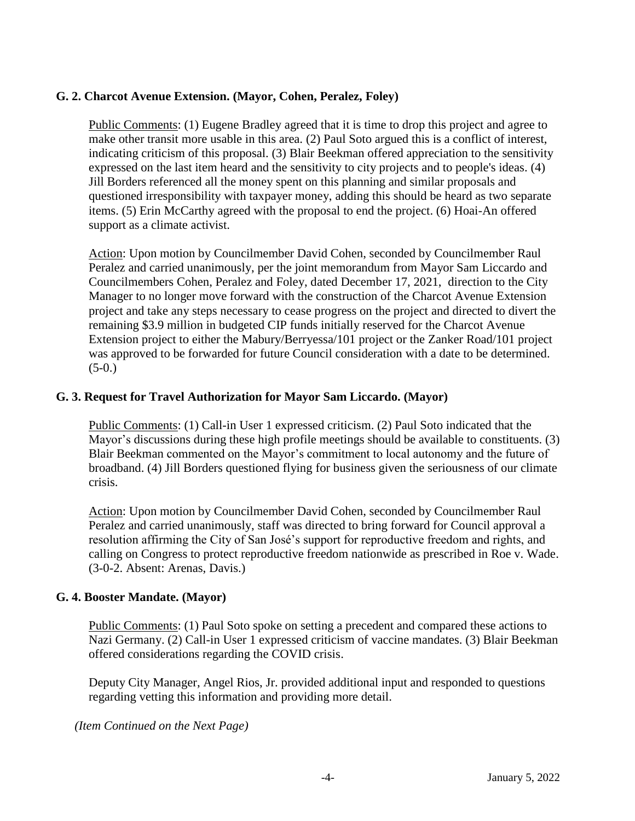# **G. 2. Charcot Avenue Extension. (Mayor, Cohen, Peralez, Foley)**

Public Comments: (1) Eugene Bradley agreed that it is time to drop this project and agree to make other transit more usable in this area. (2) Paul Soto argued this is a conflict of interest, indicating criticism of this proposal. (3) Blair Beekman offered appreciation to the sensitivity expressed on the last item heard and the sensitivity to city projects and to people's ideas. (4) Jill Borders referenced all the money spent on this planning and similar proposals and questioned irresponsibility with taxpayer money, adding this should be heard as two separate items. (5) Erin McCarthy agreed with the proposal to end the project. (6) Hoai-An offered support as a climate activist.

Action: Upon motion by Councilmember David Cohen, seconded by Councilmember Raul Peralez and carried unanimously, per the joint memorandum from Mayor Sam Liccardo and Councilmembers Cohen, Peralez and Foley, dated December 17, 2021, direction to the City Manager to no longer move forward with the construction of the Charcot Avenue Extension project and take any steps necessary to cease progress on the project and directed to divert the remaining \$3.9 million in budgeted CIP funds initially reserved for the Charcot Avenue Extension project to either the Mabury/Berryessa/101 project or the Zanker Road/101 project was approved to be forwarded for future Council consideration with a date to be determined.  $(5-0.)$ 

# **G. 3. Request for Travel Authorization for Mayor Sam Liccardo. (Mayor)**

Public Comments: (1) Call-in User 1 expressed criticism. (2) Paul Soto indicated that the Mayor's discussions during these high profile meetings should be available to constituents. (3) Blair Beekman commented on the Mayor's commitment to local autonomy and the future of broadband. (4) Jill Borders questioned flying for business given the seriousness of our climate crisis.

Action: Upon motion by Councilmember David Cohen, seconded by Councilmember Raul Peralez and carried unanimously, staff was directed to bring forward for Council approval a resolution affirming the City of San José's support for reproductive freedom and rights, and calling on Congress to protect reproductive freedom nationwide as prescribed in Roe v. Wade. (3-0-2. Absent: Arenas, Davis.)

# **G. 4. Booster Mandate. (Mayor)**

Public Comments: (1) Paul Soto spoke on setting a precedent and compared these actions to Nazi Germany. (2) Call-in User 1 expressed criticism of vaccine mandates. (3) Blair Beekman offered considerations regarding the COVID crisis.

Deputy City Manager, Angel Rios, Jr. provided additional input and responded to questions regarding vetting this information and providing more detail.

*(Item Continued on the Next Page)*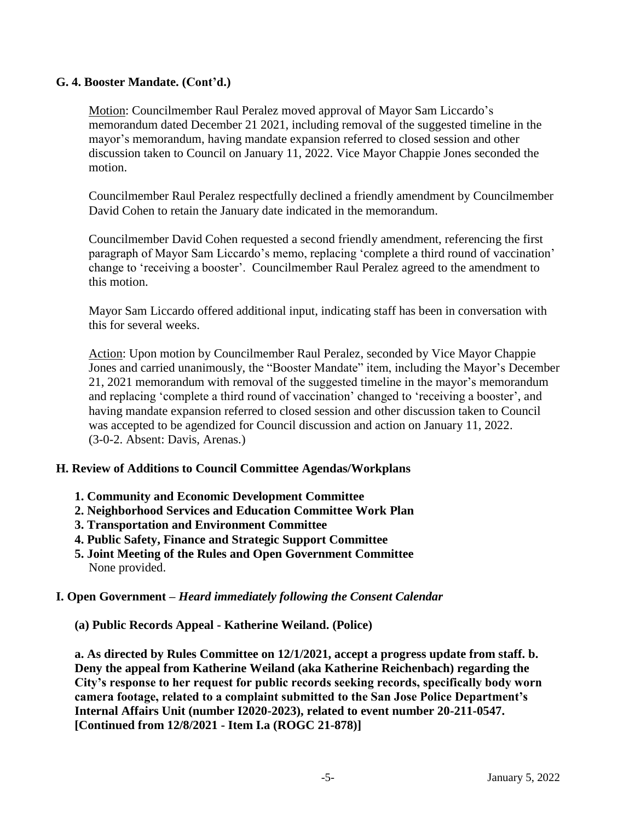### **G. 4. Booster Mandate. (Cont'd.)**

Motion: Councilmember Raul Peralez moved approval of Mayor Sam Liccardo's memorandum dated December 21 2021, including removal of the suggested timeline in the mayor's memorandum, having mandate expansion referred to closed session and other discussion taken to Council on January 11, 2022. Vice Mayor Chappie Jones seconded the motion.

Councilmember Raul Peralez respectfully declined a friendly amendment by Councilmember David Cohen to retain the January date indicated in the memorandum.

Councilmember David Cohen requested a second friendly amendment, referencing the first paragraph of Mayor Sam Liccardo's memo, replacing 'complete a third round of vaccination' change to 'receiving a booster'. Councilmember Raul Peralez agreed to the amendment to this motion.

Mayor Sam Liccardo offered additional input, indicating staff has been in conversation with this for several weeks.

Action: Upon motion by Councilmember Raul Peralez, seconded by Vice Mayor Chappie Jones and carried unanimously, the "Booster Mandate" item, including the Mayor's December 21, 2021 memorandum with removal of the suggested timeline in the mayor's memorandum and replacing 'complete a third round of vaccination' changed to 'receiving a booster', and having mandate expansion referred to closed session and other discussion taken to Council was accepted to be agendized for Council discussion and action on January 11, 2022. (3-0-2. Absent: Davis, Arenas.)

#### **H. Review of Additions to Council Committee Agendas/Workplans**

- **1. Community and Economic Development Committee**
- **2. Neighborhood Services and Education Committee Work Plan**
- **3. Transportation and Environment Committee**
- **4. Public Safety, Finance and Strategic Support Committee**
- **5. Joint Meeting of the Rules and Open Government Committee**  None provided.

#### **I. Open Government –** *Heard immediately following the Consent Calendar*

**(a) Public Records Appeal - Katherine Weiland. (Police)**

**a. As directed by Rules Committee on 12/1/2021, accept a progress update from staff. b. Deny the appeal from Katherine Weiland (aka Katherine Reichenbach) regarding the City's response to her request for public records seeking records, specifically body worn camera footage, related to a complaint submitted to the San Jose Police Department's Internal Affairs Unit (number I2020-2023), related to event number 20-211-0547. [Continued from 12/8/2021 - Item I.a (ROGC 21-878)]**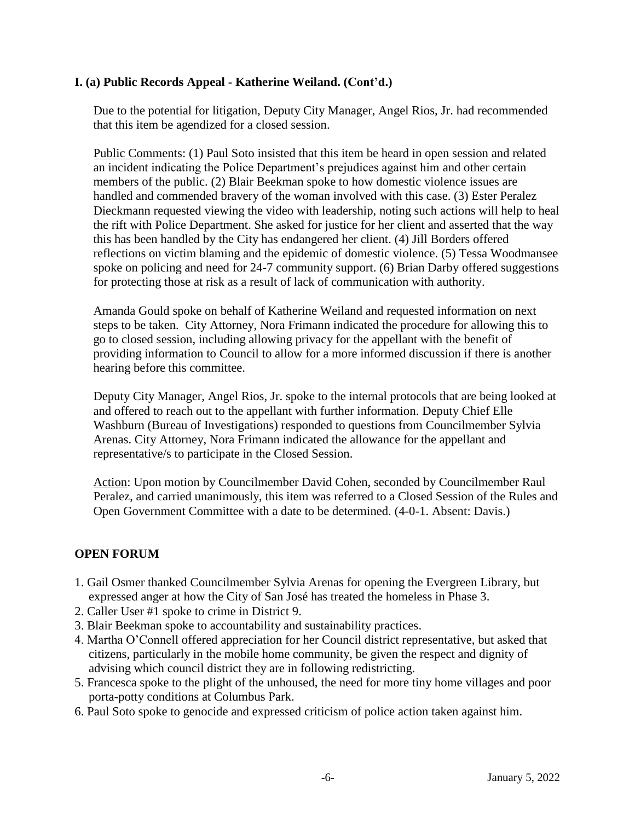# **I. (a) Public Records Appeal - Katherine Weiland. (Cont'd.)**

Due to the potential for litigation, Deputy City Manager, Angel Rios, Jr. had recommended that this item be agendized for a closed session.

Public Comments: (1) Paul Soto insisted that this item be heard in open session and related an incident indicating the Police Department's prejudices against him and other certain members of the public. (2) Blair Beekman spoke to how domestic violence issues are handled and commended bravery of the woman involved with this case. (3) Ester Peralez Dieckmann requested viewing the video with leadership, noting such actions will help to heal the rift with Police Department. She asked for justice for her client and asserted that the way this has been handled by the City has endangered her client. (4) Jill Borders offered reflections on victim blaming and the epidemic of domestic violence. (5) Tessa Woodmansee spoke on policing and need for 24-7 community support. (6) Brian Darby offered suggestions for protecting those at risk as a result of lack of communication with authority.

Amanda Gould spoke on behalf of Katherine Weiland and requested information on next steps to be taken. City Attorney, Nora Frimann indicated the procedure for allowing this to go to closed session, including allowing privacy for the appellant with the benefit of providing information to Council to allow for a more informed discussion if there is another hearing before this committee.

Deputy City Manager, Angel Rios, Jr. spoke to the internal protocols that are being looked at and offered to reach out to the appellant with further information. Deputy Chief Elle Washburn (Bureau of Investigations) responded to questions from Councilmember Sylvia Arenas. City Attorney, Nora Frimann indicated the allowance for the appellant and representative/s to participate in the Closed Session.

Action: Upon motion by Councilmember David Cohen, seconded by Councilmember Raul Peralez, and carried unanimously, this item was referred to a Closed Session of the Rules and Open Government Committee with a date to be determined. (4-0-1. Absent: Davis.)

# **OPEN FORUM**

- 1. Gail Osmer thanked Councilmember Sylvia Arenas for opening the Evergreen Library, but expressed anger at how the City of San José has treated the homeless in Phase 3.
- 2. Caller User #1 spoke to crime in District 9.
- 3. Blair Beekman spoke to accountability and sustainability practices.
- 4. Martha O'Connell offered appreciation for her Council district representative, but asked that citizens, particularly in the mobile home community, be given the respect and dignity of advising which council district they are in following redistricting.
- 5. Francesca spoke to the plight of the unhoused, the need for more tiny home villages and poor porta-potty conditions at Columbus Park.
- 6. Paul Soto spoke to genocide and expressed criticism of police action taken against him.